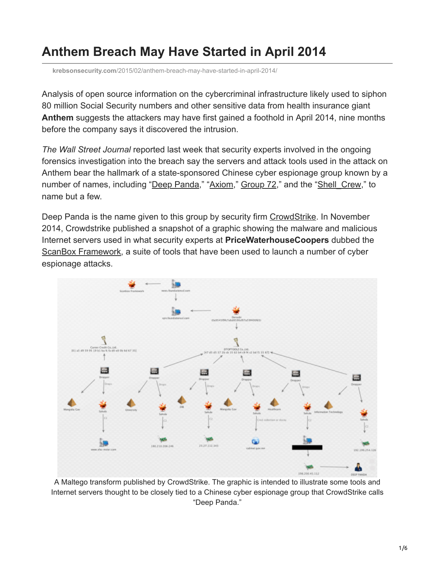## **Anthem Breach May Have Started in April 2014**

**krebsonsecurity.com**[/2015/02/anthem-breach-may-have-started-in-april-2014/](https://krebsonsecurity.com/2015/02/anthem-breach-may-have-started-in-april-2014/)

Analysis of open source information on the cybercriminal infrastructure likely used to siphon 80 million Social Security numbers and other sensitive data from health insurance giant **Anthem** suggests the attackers may have first gained a foothold in April 2014, nine months before the company says it discovered the intrusion.

*The Wall Street Journal* reported last week that security experts involved in the ongoing forensics investigation into the breach say the servers and attack tools used in the attack on Anthem bear the hallmark of a state-sponsored Chinese cyber espionage group known by a number of names, including "[Deep Panda](http://blog.crowdstrike.com/deep-thought-chinese-targeting-national-security-think-tanks/)," ["Axiom](https://www.novetta.com/2014/10/cyber-security-coalition-releases-full-report-on-large-scale-interdiction-of-chinese-state-sponsored-espionage-effort/)," [Group 72](http://blogs.cisco.com/security/talos/threat-spotlight-group-72)," and the "Shell Crew," to name but a few.

Deep Panda is the name given to this group by security firm [CrowdStrike.](http://www.crowdstrike.com/) In November 2014, Crowdstrike published a snapshot of a graphic showing the malware and malicious Internet servers used in what security experts at **PriceWaterhouseCoopers** dubbed the [ScanBox Framework](http://pwc.blogs.com/cyber_security_updates/2014/10/scanbox-framework-whos-affected-and-whos-using-it-1.html), a suite of tools that have been used to launch a number of cyber espionage attacks.



A Maltego transform published by CrowdStrike. The graphic is intended to illustrate some tools and Internet servers thought to be closely tied to a Chinese cyber espionage group that CrowdStrike calls "Deep Panda."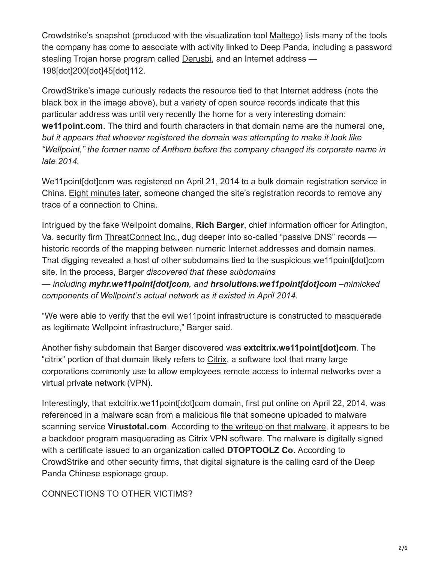Crowdstrike's snapshot (produced with the visualization tool [Maltego](https://www.paterva.com/)) lists many of the tools the company has come to associate with activity linked to Deep Panda, including a password stealing Trojan horse program called [Derusbi,](http://www.microsoft.com/security/portal/threat/encyclopedia/entry.aspx?name=TROJANSPY:WIN32/DERUSBI.A) and an Internet address — 198[dot]200[dot]45[dot]112.

CrowdStrike's image curiously redacts the resource tied to that Internet address (note the black box in the image above), but a variety of open source records indicate that this particular address was until very recently the home for a very interesting domain: **we11point.com**. The third and fourth characters in that domain name are the numeral one, *but it appears that whoever registered the domain was attempting to make it look like "Wellpoint," the former name of Anthem before the company changed its corporate name in late 2014.*

We11point[dot]com was registered on April 21, 2014 to a bulk domain registration service in China. [Eight minutes later](https://krebsonsecurity.com/wp-content/uploads/2015/02/we11point-whoischanges.png), someone changed the site's registration records to remove any trace of a connection to China.

Intrigued by the fake Wellpoint domains, **Rich Barger**, chief information officer for Arlington, Va. security firm [ThreatConnect Inc.,](http://threatconnect.com/) dug deeper into so-called "passive DNS" records historic records of the mapping between numeric Internet addresses and domain names. That digging revealed a host of other subdomains tied to the suspicious we11point[dot]com site. In the process, Barger *discovered that these subdomains — including myhr.we11point[dot]com, and hrsolutions.we11point[dot]com –mimicked components of Wellpoint's actual network as it existed in April 2014.*

"We were able to verify that the evil we11point infrastructure is constructed to masquerade as legitimate Wellpoint infrastructure," Barger said.

Another fishy subdomain that Barger discovered was **extcitrix.we11point[dot]com**. The "citrix" portion of that domain likely refers to [Citrix](http://www.citrix.com/go/receiver.html), a software tool that many large corporations commonly use to allow employees remote access to internal networks over a virtual private network (VPN).

Interestingly, that extcitrix.we11point[dot]com domain, first put online on April 22, 2014, was referenced in a malware scan from a malicious file that someone uploaded to malware scanning service **Virustotal.com**. According to [the writeup on that malware,](https://www.virustotal.com/en-gb/file/8d168092d5601ebbaed24ec3caeef7454c48cf21366cd76560755eb33aff89e9/analysis/) it appears to be a backdoor program masquerading as Citrix VPN software. The malware is digitally signed with a certificate issued to an organization called **DTOPTOOLZ Co.** According to CrowdStrike and other security firms, that digital signature is the calling card of the Deep Panda Chinese espionage group.

CONNECTIONS TO OTHER VICTIMS?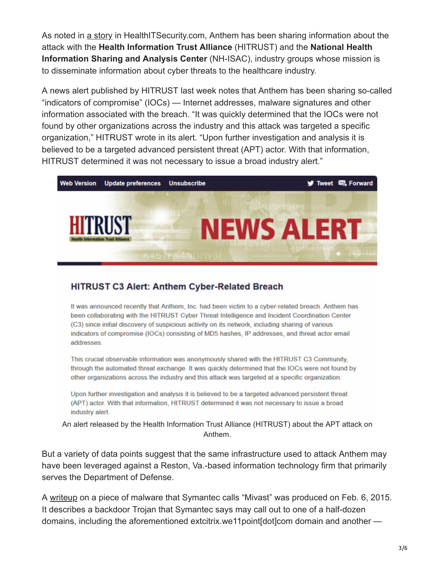As noted in [a story](http://healthitsecurity.com/2015/02/06/lessons-learned-from-the-anthem-data-breach/) in HealthITSecurity.com, Anthem has been sharing information about the attack with the **Health Information Trust Alliance** (HITRUST) and the **National Health Information Sharing and Analysis Center** (NH-ISAC), industry groups whose mission is to disseminate information about cyber threats to the healthcare industry.

A news alert published by HITRUST last week notes that Anthem has been sharing so-called "indicators of compromise" (IOCs) — Internet addresses, malware signatures and other information associated with the breach. "It was quickly determined that the IOCs were not found by other organizations across the industry and this attack was targeted a specific organization," HITRUST wrote in its alert. "Upon further investigation and analysis it is believed to be a targeted advanced persistent threat (APT) actor. With that information, HITRUST determined it was not necessary to issue a broad industry alert."



## **HITRUST C3 Alert: Anthem Cyber-Related Breach**

It was announced recently that Anthem, Inc. had been victim to a cyber-related breach. Anthem has been collaborating with the HITRUST Cyber Threat Intelligence and Incident Coordination Center (C3) since initial discovery of suspicious activity on its network, including sharing of various indicators of compromise (IOCs) consisting of MD5 hashes, IP addresses, and threat actor email addresses

This crucial observable information was anonymously shared with the HITRUST C3 Community, through the automated threat exchange. It was quickly determined that the IOCs were not found by other organizations across the industry and this attack was targeted at a specific organization.

Upon further investigation and analysis it is believed to be a targeted advanced persistent threat (APT) actor. With that information, HITRUST determined it was not necessary to issue a broad industry alert.

An alert released by the Health Information Trust Alliance (HITRUST) about the APT attack on Anthem.

But a variety of data points suggest that the same infrastructure used to attack Anthem may have been leveraged against a Reston, Va.-based information technology firm that primarily serves the Department of Defense.

A [writeup](http://www.symantec.com/security_response/earthlink_writeup.jsp?docid=2015-020623-0740-99) on a piece of malware that Symantec calls "Mivast" was produced on Feb. 6, 2015. It describes a backdoor Trojan that Symantec says may call out to one of a half-dozen domains, including the aforementioned extcitrix.we11point[dot]com domain and another —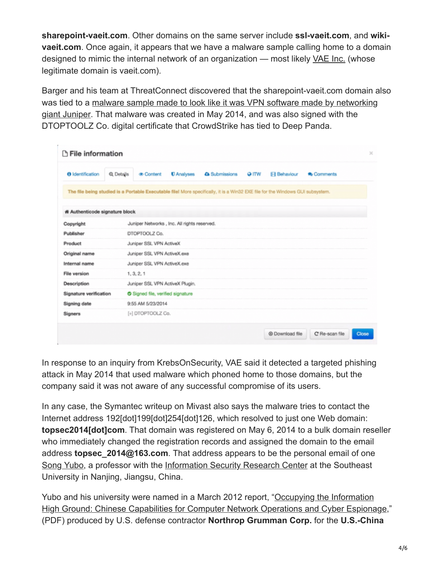**sharepoint-vaeit.com**. Other domains on the same server include **ssl-vaeit.com**, and **wikivaeit.com**. Once again, it appears that we have a malware sample calling home to a domain designed to mimic the internal network of an organization — most likely [VAE Inc.](http://vaeit.com/customers/government/) (whose legitimate domain is vaeit.com).

Barger and his team at ThreatConnect discovered that the sharepoint-vaeit.com domain also [was tied to a malware sample made to look like it was VPN software made by networking](https://www.virustotal.com/en-gb/file/d4be6c9117db9de21138ae26d1d0c3cfb38fd7a19fa07c828731fa2ac756ef8d/analysis/) giant Juniper. That malware was created in May 2014, and was also signed with the DTOPTOOLZ Co. digital certificate that CrowdStrike has tied to Deep Panda.

| <b>T</b> File information                                                                                                      |           |                                             |                          |                      |             |                     |                 |       |
|--------------------------------------------------------------------------------------------------------------------------------|-----------|---------------------------------------------|--------------------------|----------------------|-------------|---------------------|-----------------|-------|
| <b>O</b> Identification                                                                                                        | Q Details | <b>® Content</b>                            | <b><i>U</i></b> Analyses | <b>A</b> Submissions | <b>GITW</b> | <b>El Behaviour</b> | <b>Comments</b> |       |
| The file being studied is a Portable Executable file! More specifically, it is a Win32 EXE file for the Windows GUI subsystem. |           |                                             |                          |                      |             |                     |                 |       |
| <b># Authenticode signature block</b>                                                                                          |           |                                             |                          |                      |             |                     |                 |       |
| Copyright                                                                                                                      |           | Juniper Networks, Inc. All rights reserved. |                          |                      |             |                     |                 |       |
| Publisher                                                                                                                      |           | DTOPTOOLZ Co.                               |                          |                      |             |                     |                 |       |
| Product                                                                                                                        |           | Juniper SSL VPN ActiveX                     |                          |                      |             |                     |                 |       |
| Original name                                                                                                                  |           | Juniper SSL VPN ActiveX.exe                 |                          |                      |             |                     |                 |       |
| Internal name                                                                                                                  |           | Juniper SSL VPN ActiveX.exe                 |                          |                      |             |                     |                 |       |
| File version                                                                                                                   |           | 1, 3, 2, 1                                  |                          |                      |             |                     |                 |       |
| Description                                                                                                                    |           | Juniper SSL VPN ActiveX Plugin.             |                          |                      |             |                     |                 |       |
| Signature verification                                                                                                         |           | Signed file, verified signature             |                          |                      |             |                     |                 |       |
| Signing date                                                                                                                   |           | 9:55 AM 5/23/2014                           |                          |                      |             |                     |                 |       |
| Signers                                                                                                                        |           | [+] DTOPTOOLZ Co.                           |                          |                      |             |                     |                 |       |
|                                                                                                                                |           |                                             |                          |                      |             | @ Download file     | C' Re-scan file | Close |

In response to an inquiry from KrebsOnSecurity, VAE said it detected a targeted phishing attack in May 2014 that used malware which phoned home to those domains, but the company said it was not aware of any successful compromise of its users.

In any case, the Symantec writeup on Mivast also says the malware tries to contact the Internet address 192[dot]199[dot]254[dot]126, which resolved to just one Web domain: **topsec2014[dot]com**. That domain was registered on May 6, 2014 to a bulk domain reseller who immediately changed the registration records and assigned the domain to the email address **topsec\_2014@163.com**. That address appears to be the personal email of one [Song Yubo,](https://www.linkedin.com/pub/song-yubo/2b/285/43b?trk=pub-pbmap) a professor with the [Information Security Research Center](http://translate.google.com/translate?hl=en&sl=zh-CN&u=http://infosec.seu.edu.cn/more.php%3Fsort%3D02%26flag%3Dpost%26tid%3D377&prev=search) at the Southeast University in Nanjing, Jiangsu, China.

Yubo and his university were named in a March 2012 report, "Occupying the Information [High Ground: Chinese Capabilities for Computer Network Operations and Cyber Espionage](http://www2.gwu.edu/~nsarchiv/NSAEBB/NSAEBB424/docs/Cyber-066.pdf)," (PDF) produced by U.S. defense contractor **Northrop Grumman Corp.** for the **U.S.-China**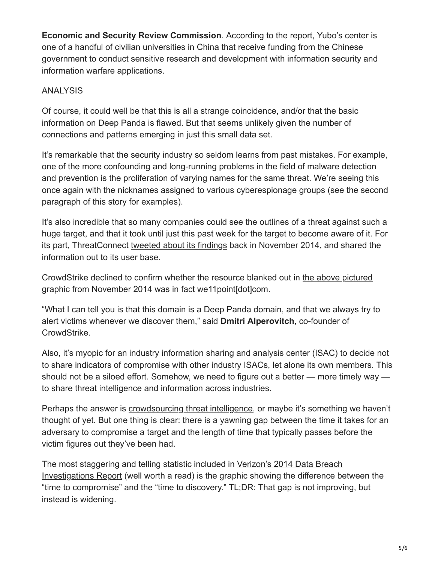**Economic and Security Review Commission**. According to the report, Yubo's center is one of a handful of civilian universities in China that receive funding from the Chinese government to conduct sensitive research and development with information security and information warfare applications.

## ANALYSIS

Of course, it could well be that this is all a strange coincidence, and/or that the basic information on Deep Panda is flawed. But that seems unlikely given the number of connections and patterns emerging in just this small data set.

It's remarkable that the security industry so seldom learns from past mistakes. For example, one of the more confounding and long-running problems in the field of malware detection and prevention is the proliferation of varying names for the same threat. We're seeing this once again with the nicknames assigned to various cyberespionage groups (see the second paragraph of this story for examples).

It's also incredible that so many companies could see the outlines of a threat against such a huge target, and that it took until just this past week for the target to become aware of it. For its part, ThreatConnect [tweeted about its findings](https://twitter.com/ThreatConnect/status/533327104742809600) back in November 2014, and shared the information out to its user base.

[CrowdStrike declined to confirm whether the resource blanked out in the above pictured](https://krebsonsecurity.com/wp-content/uploads/2015/02/scanbox-CS.png) graphic from November 2014 was in fact we11 point[dot]com.

"What I can tell you is that this domain is a Deep Panda domain, and that we always try to alert victims whenever we discover them," said **Dmitri Alperovitch**, co-founder of CrowdStrike.

Also, it's myopic for an industry information sharing and analysis center (ISAC) to decide not to share indicators of compromise with other industry ISACs, let alone its own members. This should not be a siloed effort. Somehow, we need to figure out a better — more timely way to share threat intelligence and information across industries.

Perhaps the answer is [crowdsourcing threat intelligence,](http://www.washingtonpost.com/blogs/innovations/wp/2015/02/05/crowdsourcing-americas-cybersecurity-is-an-idea-so-crazy-it-might-just-work/) or maybe it's something we haven't thought of yet. But one thing is clear: there is a yawning gap between the time it takes for an adversary to compromise a target and the length of time that typically passes before the victim figures out they've been had.

[The most staggering and telling statistic included in Verizon's 2014 Data Breach](http://www.verizonenterprise.com/DBIR/2014/) Investigations Report (well worth a read) is the graphic showing the difference between the "time to compromise" and the "time to discovery." TL;DR: That gap is not improving, but instead is widening.